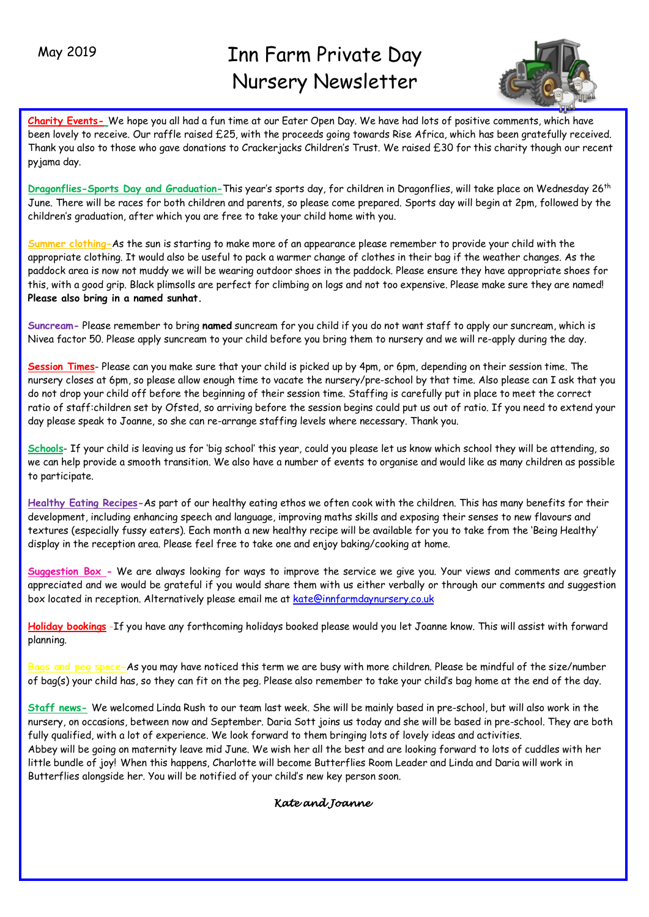# Inn Farm Private Day Nursery Newsletter



**Charity Events-** We hope you all had a fun time at our Eater Open Day. We have had lots of positive comments, which have been lovely to receive. Our raffle raised £25, with the proceeds going towards Rise Africa, which has been gratefully received. Thank you also to those who gave donations to Crackerjacks Children's Trust. We raised £30 for this charity though our recent pyjama day.

**Dragonflies-Sports Day and Graduation-**This year's sports day, for children in Dragonflies, will take place on Wednesday 26th June. There will be races for both children and parents, so please come prepared. Sports day will begin at 2pm, followed by the children's graduation, after which you are free to take your child home with you.

**Summer clothing-**As the sun is starting to make more of an appearance please remember to provide your child with the appropriate clothing. It would also be useful to pack a warmer change of clothes in their bag if the weather changes. As the paddock area is now not muddy we will be wearing outdoor shoes in the paddock. Please ensure they have appropriate shoes for this, with a good grip. Black plimsolls are perfect for climbing on logs and not too expensive. Please make sure they are named! **Please also bring in a named sunhat.**

**Suncream-** Please remember to bring **named** suncream for you child if you do not want staff to apply our suncream, which is Nivea factor 50. Please apply suncream to your child before you bring them to nursery and we will re-apply during the day.

**Session Times**- Please can you make sure that your child is picked up by 4pm, or 6pm, depending on their session time. The nursery closes at 6pm, so please allow enough time to vacate the nursery/pre-school by that time. Also please can I ask that you do not drop your child off before the beginning of their session time. Staffing is carefully put in place to meet the correct ratio of staff:children set by Ofsted, so arriving before the session begins could put us out of ratio. If you need to extend your day please speak to Joanne, so she can re-arrange staffing levels where necessary. Thank you.

**Schools**- If your child is leaving us for 'big school' this year, could you please let us know which school they will be attending, so we can help provide a smooth transition. We also have a number of events to organise and would like as many children as possible to participate.

**Healthy Eating Recipes-**As part of our healthy eating ethos we often cook with the children. This has many benefits for their development, including enhancing speech and language, improving maths skills and exposing their senses to new flavours and textures (especially fussy eaters). Each month a new healthy recipe will be available for you to take from the 'Being Healthy' display in the reception area. Please feel free to take one and enjoy baking/cooking at home.

**Suggestion Box -** We are always looking for ways to improve the service we give you. Your views and comments are greatly appreciated and we would be grateful if you would share them with us either verbally or through our comments and suggestion box located in reception. Alternatively please email me at kate@innfarmdaynursery.co.uk

**Holiday bookings** -If you have any forthcoming holidays booked please would you let Joanne know. This will assist with forward planning.

**Bags and peg space-**As you may have noticed this term we are busy with more children. Please be mindful of the size/number of bag(s) your child has, so they can fit on the peg. Please also remember to take your child's bag home at the end of the day.

**Staff news-** We welcomed Linda Rush to our team last week. She will be mainly based in pre-school, but will also work in the nursery, on occasions, between now and September. Daria Sott joins us today and she will be based in pre-school. They are both fully qualified, with a lot of experience. We look forward to them bringing lots of lovely ideas and activities. Abbey will be going on maternity leave mid June. We wish her all the best and are looking forward to lots of cuddles with her little bundle of joy! When this happens, Charlotte will become Butterflies Room Leader and Linda and Daria will work in Butterflies alongside her. You will be notified of your child's new key person soon.

# *Kate and Joanne*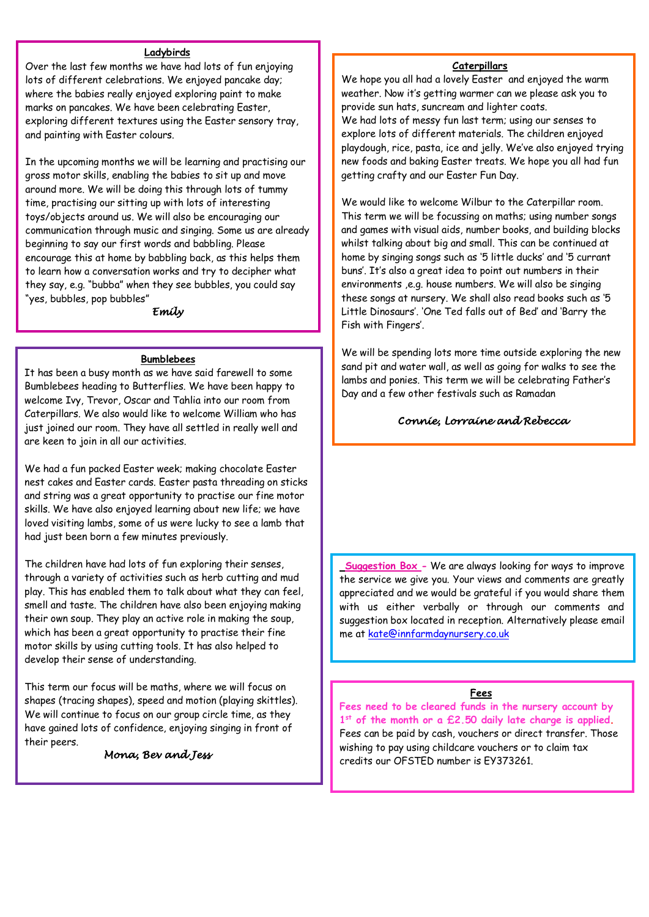#### **Ladybirds**

Over the last few months we have had lots of fun enjoying lots of different celebrations. We enjoyed pancake day; where the babies really enjoyed exploring paint to make marks on pancakes. We have been celebrating Easter, exploring different textures using the Easter sensory tray, and painting with Easter colours.

In the upcoming months we will be learning and practising our gross motor skills, enabling the babies to sit up and move around more. We will be doing this through lots of tummy time, practising our sitting up with lots of interesting toys/objects around us. We will also be encouraging our communication through music and singing. Some us are already beginning to say our first words and babbling. Please encourage this at home by babbling back, as this helps them to learn how a conversation works and try to decipher what they say, e.g. "bubba" when they see bubbles, you could say "yes, bubbles, pop bubbles"

*Emily* 

#### **Bumblebees**

It has been a busy month as we have said farewell to some Bumblebees heading to Butterflies. We have been happy to welcome Ivy, Trevor, Oscar and Tahlia into our room from Caterpillars. We also would like to welcome William who has just joined our room. They have all settled in really well and are keen to join in all our activities.

We had a fun packed Easter week; making chocolate Easter nest cakes and Easter cards. Easter pasta threading on sticks and string was a great opportunity to practise our fine motor skills. We have also enjoyed learning about new life; we have loved visiting lambs, some of us were lucky to see a lamb that had just been born a few minutes previously.

The children have had lots of fun exploring their senses, through a variety of activities such as herb cutting and mud play. This has enabled them to talk about what they can feel, smell and taste. The children have also been enjoying making their own soup. They play an active role in making the soup, which has been a great opportunity to practise their fine motor skills by using cutting tools. It has also helped to develop their sense of understanding.

This term our focus will be maths, where we will focus on shapes (tracing shapes), speed and motion (playing skittles). We will continue to focus on our group circle time, as they have gained lots of confidence, enjoying singing in front of their peers.

*Mona, Bev and Jess* 

ì

### **Caterpillars**

We hope you all had a lovely Easter and enjoyed the warm weather. Now it's getting warmer can we please ask you to provide sun hats, suncream and lighter coats. We had lots of messy fun last term; using our senses to explore lots of different materials. The children enjoyed playdough, rice, pasta, ice and jelly. We've also enjoyed trying new foods and baking Easter treats. We hope you all had fun getting crafty and our Easter Fun Day.

We would like to welcome Wilbur to the Caterpillar room. This term we will be focussing on maths; using number songs and games with visual aids, number books, and building blocks whilst talking about big and small. This can be continued at home by singing songs such as '5 little ducks' and '5 currant buns'. It's also a great idea to point out numbers in their environments ,e.g. house numbers. We will also be singing these songs at nursery. We shall also read books such as '5 Little Dinosaurs'. 'One Ted falls out of Bed' and 'Barry the Fish with Fingers'.

We will be spending lots more time outside exploring the new sand pit and water wall, as well as going for walks to see the lambs and ponies. This term we will be celebrating Father's Day and a few other festivals such as Ramadan

#### **C***onnie, Lorraine and Rebecca*

**Suggestion Box -** We are always looking for ways to improve the service we give you. Your views and comments are greatly appreciated and we would be grateful if you would share them with us either verbally or through our comments and suggestion box located in reception. Alternatively please email me at kate@innfarmdaynursery.co.uk

#### **Fees**

**Fees need to be cleared funds in the nursery account by 1st of the month or a £2.50 daily late charge is applied.** Fees can be paid by cash, vouchers or direct transfer. Those wishing to pay using childcare vouchers or to claim tax credits our OFSTED number is EY373261.